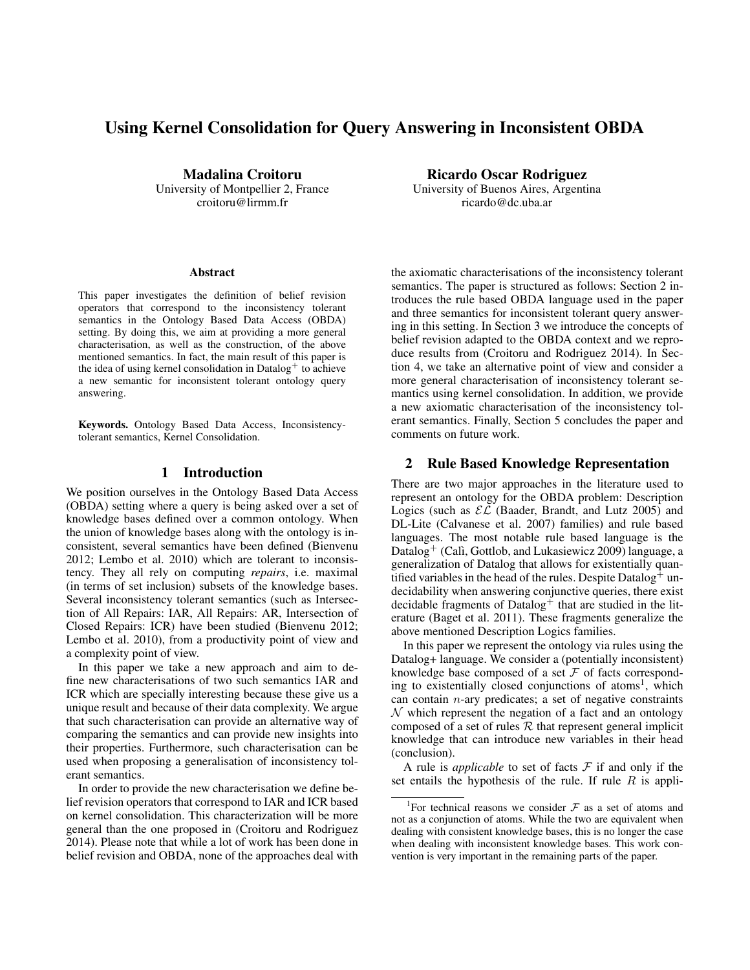# Using Kernel Consolidation for Query Answering in Inconsistent OBDA

Madalina Croitoru University of Montpellier 2, France croitoru@lirmm.fr

#### **Abstract**

This paper investigates the definition of belief revision operators that correspond to the inconsistency tolerant semantics in the Ontology Based Data Access (OBDA) setting. By doing this, we aim at providing a more general characterisation, as well as the construction, of the above mentioned semantics. In fact, the main result of this paper is the idea of using kernel consolidation in Datalog<sup>+</sup> to achieve a new semantic for inconsistent tolerant ontology query answering.

Keywords. Ontology Based Data Access, Inconsistencytolerant semantics, Kernel Consolidation.

### 1 Introduction

We position ourselves in the Ontology Based Data Access (OBDA) setting where a query is being asked over a set of knowledge bases defined over a common ontology. When the union of knowledge bases along with the ontology is inconsistent, several semantics have been defined (Bienvenu 2012; Lembo et al. 2010) which are tolerant to inconsistency. They all rely on computing *repairs*, i.e. maximal (in terms of set inclusion) subsets of the knowledge bases. Several inconsistency tolerant semantics (such as Intersection of All Repairs: IAR, All Repairs: AR, Intersection of Closed Repairs: ICR) have been studied (Bienvenu 2012; Lembo et al. 2010), from a productivity point of view and a complexity point of view.

In this paper we take a new approach and aim to define new characterisations of two such semantics IAR and ICR which are specially interesting because these give us a unique result and because of their data complexity. We argue that such characterisation can provide an alternative way of comparing the semantics and can provide new insights into their properties. Furthermore, such characterisation can be used when proposing a generalisation of inconsistency tolerant semantics.

In order to provide the new characterisation we define belief revision operators that correspond to IAR and ICR based on kernel consolidation. This characterization will be more general than the one proposed in (Croitoru and Rodriguez 2014). Please note that while a lot of work has been done in belief revision and OBDA, none of the approaches deal with

Ricardo Oscar Rodriguez University of Buenos Aires, Argentina ricardo@dc.uba.ar

the axiomatic characterisations of the inconsistency tolerant semantics. The paper is structured as follows: Section 2 introduces the rule based OBDA language used in the paper and three semantics for inconsistent tolerant query answering in this setting. In Section 3 we introduce the concepts of belief revision adapted to the OBDA context and we reproduce results from (Croitoru and Rodriguez 2014). In Section 4, we take an alternative point of view and consider a more general characterisation of inconsistency tolerant semantics using kernel consolidation. In addition, we provide a new axiomatic characterisation of the inconsistency tolerant semantics. Finally, Section 5 concludes the paper and comments on future work.

# 2 Rule Based Knowledge Representation

There are two major approaches in the literature used to represent an ontology for the OBDA problem: Description Logics (such as  $\mathcal{EL}$  (Baader, Brandt, and Lutz 2005) and DL-Lite (Calvanese et al. 2007) families) and rule based languages. The most notable rule based language is the Datalog<sup>+</sup> (Calì, Gottlob, and Lukasiewicz 2009) language, a generalization of Datalog that allows for existentially quantified variables in the head of the rules. Despite Datalog<sup>+</sup> undecidability when answering conjunctive queries, there exist decidable fragments of Datalog<sup>+</sup> that are studied in the literature (Baget et al. 2011). These fragments generalize the above mentioned Description Logics families.

In this paper we represent the ontology via rules using the Datalog+ language. We consider a (potentially inconsistent) knowledge base composed of a set  $F$  of facts corresponding to existentially closed conjunctions of atoms<sup>1</sup>, which can contain  $n$ -ary predicates; a set of negative constraints  $\mathcal N$  which represent the negation of a fact and an ontology composed of a set of rules  $R$  that represent general implicit knowledge that can introduce new variables in their head (conclusion).

A rule is *applicable* to set of facts  $F$  if and only if the set entails the hypothesis of the rule. If rule  $R$  is appli-

<sup>&</sup>lt;sup>1</sup>For technical reasons we consider  $\mathcal F$  as a set of atoms and not as a conjunction of atoms. While the two are equivalent when dealing with consistent knowledge bases, this is no longer the case when dealing with inconsistent knowledge bases. This work convention is very important in the remaining parts of the paper.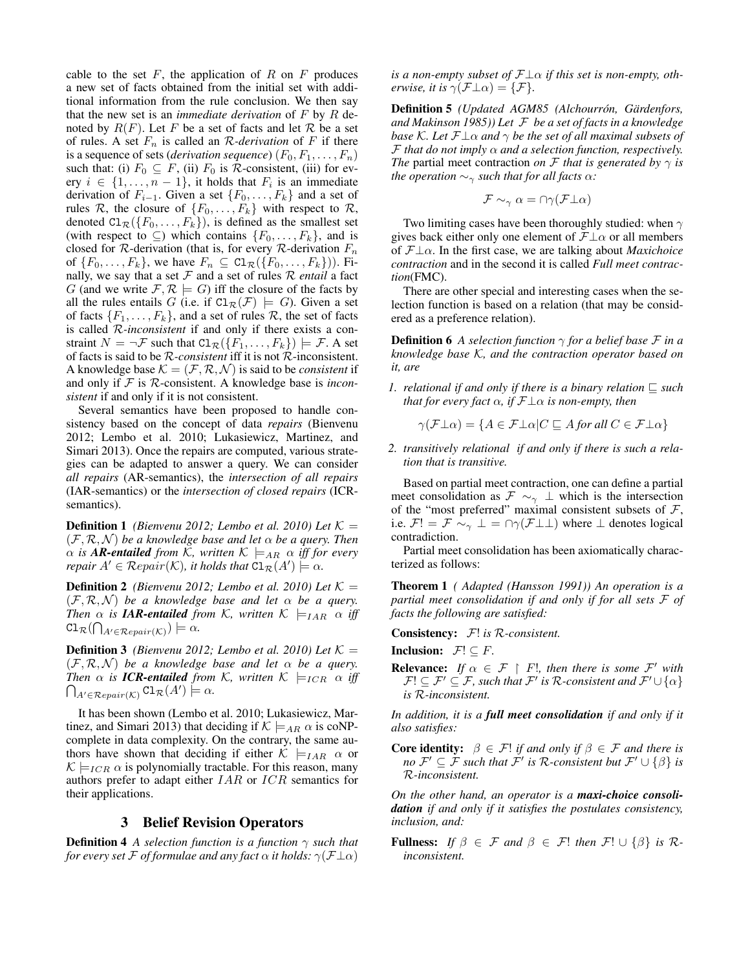cable to the set  $F$ , the application of  $R$  on  $F$  produces a new set of facts obtained from the initial set with additional information from the rule conclusion. We then say that the new set is an *immediate derivation* of F by R denoted by  $R(F)$ . Let F be a set of facts and let R be a set of rules. A set  $F_n$  is called an R-*derivation* of F if there is a sequence of sets (*derivation sequence*)  $(F_0, F_1, \ldots, F_n)$ such that: (i)  $F_0 \subseteq F$ , (ii)  $F_0$  is  $R$ -consistent, (iii) for every  $i \in \{1, \ldots, n-1\}$ , it holds that  $F_i$  is an immediate derivation of  $F_{i-1}$ . Given a set  $\{F_0, \ldots, F_k\}$  and a set of rules R, the closure of  $\{F_0, \ldots, F_k\}$  with respect to R, denoted  $Cl_{\mathcal{R}}(\lbrace F_0,\ldots,F_k \rbrace)$ , is defined as the smallest set (with respect to  $\subseteq$ ) which contains  $\{F_0, \ldots, F_k\}$ , and is closed for  $R$ -derivation (that is, for every  $R$ -derivation  $F_n$ of  $\{F_0, \ldots, F_k\}$ , we have  $F_n \subseteq \text{Cl}_{\mathcal{R}}(\{F_0, \ldots, F_k\})$ ). Finally, we say that a set  $F$  and a set of rules  $R$  *entail* a fact G (and we write  $\mathcal{F}, \mathcal{R} \models G$ ) iff the closure of the facts by all the rules entails G (i.e. if  $Cl_{\mathcal{R}}(\mathcal{F}) \models G$ ). Given a set of facts  $\{F_1, \ldots, F_k\}$ , and a set of rules  $\mathcal R$ , the set of facts is called R*-inconsistent* if and only if there exists a constraint  $N = \neg \mathcal{F}$  such that  $\text{Cl}_{\mathcal{R}}(\lbrace F_1, \ldots, F_k \rbrace) \models \mathcal{F}$ . A set of facts is said to be R*-consistent* iff it is not R-inconsistent. A knowledge base  $K = (\mathcal{F}, \mathcal{R}, \mathcal{N})$  is said to be *consistent* if and only if F is R-consistent. A knowledge base is *inconsistent* if and only if it is not consistent.

Several semantics have been proposed to handle consistency based on the concept of data *repairs* (Bienvenu 2012; Lembo et al. 2010; Lukasiewicz, Martinez, and Simari 2013). Once the repairs are computed, various strategies can be adapted to answer a query. We can consider *all repairs* (AR-semantics), the *intersection of all repairs* (IAR-semantics) or the *intersection of closed repairs* (ICRsemantics).

**Definition 1** *(Bienvenu 2012; Lembo et al. 2010) Let*  $K =$  $(F, \mathcal{R}, \mathcal{N})$  *be a knowledge base and let*  $\alpha$  *be a query. Then*  $\alpha$  *is* **AR-entailed** from K, written  $K \models_{AR} \alpha$  *iff for every repair*  $A' \in \mathcal{R}$ *epair*( $\mathcal{K}$ )*, it holds that*  $\text{Cl}_{\mathcal{R}}(A') \models \alpha$ *.* 

**Definition 2** *(Bienvenu 2012; Lembo et al. 2010) Let*  $K =$  $(F, \mathcal{R}, \mathcal{N})$  *be a knowledge base and let*  $\alpha$  *be a query. Then*  $\alpha$  *is IAR-entailed from K, written*  $K \models_{IAR} \alpha$  *iff*  $\text{Cl}_{\mathcal{R}}(\bigcap_{A' \in \mathcal{R}epair(\mathcal{K})}) \models \alpha.$ 

**Definition 3** *(Bienvenu 2012; Lembo et al. 2010) Let*  $K =$  $(F, \mathcal{R}, \mathcal{N})$  *be a knowledge base and let*  $\alpha$  *be a query.*  $\bigcap_{A' \in \mathcal{R}epair(\mathcal{K})} \mathtt{Cl}_{\mathcal{R}}(A') \models \alpha.$ *Then*  $\alpha$  *is ICR-entailed from K, written*  $K \models_{ICR} \alpha$  *iff* 

It has been shown (Lembo et al. 2010; Lukasiewicz, Martinez, and Simari 2013) that deciding if  $K \models_{AR} \alpha$  is coNPcomplete in data complexity. On the contrary, the same authors have shown that deciding if either  $\mathcal{K} \models_{IAR} \alpha$  or  $\mathcal{K} \models_{ICR} \alpha$  is polynomially tractable. For this reason, many authors prefer to adapt either IAR or ICR semantics for their applications.

#### 3 Belief Revision Operators

**Definition 4** *A selection function is a function*  $\gamma$  *such that for every set* F *of formulae and any fact*  $\alpha$  *it holds:*  $\gamma(\mathcal{F}\perp \alpha)$  *is a non-empty subset of*  $\mathcal{F}\perp\alpha$  *if this set is non-empty, otherwise, it is*  $\gamma(\mathcal{F}\perp \alpha) = {\mathcal{F}}$ *.* 

Definition 5 *(Updated AGM85 (Alchourrón, Gärdenfors, and Makinson 1985)) Let* F *be a set of facts in a knowledge base* K. Let  $\mathcal{F}\perp\alpha$  *and*  $\gamma$  *be the set of all maximal subsets of*  $\mathcal F$  *that do not imply*  $\alpha$  *and a selection function, respectively. The* partial meet contraction *on*  $\mathcal F$  *that is generated by*  $\gamma$  *is the operation*  $\sim_{\gamma}$  *such that for all facts*  $\alpha$ *:* 

$$
\mathcal{F} \sim_\gamma \alpha = \cap \gamma(\mathcal{F} \bot \alpha)
$$

Two limiting cases have been thoroughly studied: when  $\gamma$ gives back either only one element of  $\mathcal{F}\perp\alpha$  or all members of F⊥α. In the first case, we are talking about *Maxichoice contraction* and in the second it is called *Full meet contraction*(FMC).

There are other special and interesting cases when the selection function is based on a relation (that may be considered as a preference relation).

**Definition 6** *A selection function*  $\gamma$  *for a belief base*  $\mathcal F$  *in a knowledge base* K*, and the contraction operator based on it, are*

*1. relational if and only if there is a binary relation*  $\Box$  *such that for every fact*  $\alpha$ *, if*  $\mathcal{F}\perp \alpha$  *is non-empty, then* 

$$
\gamma(\mathcal{F}\bot \alpha) = \{ A \in \mathcal{F}\bot \alpha | C \sqsubseteq A \text{ for all } C \in \mathcal{F}\bot \alpha \}
$$

*2. transitively relational if and only if there is such a relation that is transitive.*

Based on partial meet contraction, one can define a partial meet consolidation as  $\mathcal{F} \sim_{\gamma} \bot$  which is the intersection of the "most preferred" maximal consistent subsets of  $\mathcal{F}$ , i.e.  $\mathcal{F}! = \mathcal{F} \sim_{\gamma} \bot = \cap \gamma(\mathcal{F} \bot \bot)$  where  $\bot$  denotes logical contradiction.

Partial meet consolidation has been axiomatically characterized as follows:

Theorem 1 *( Adapted (Hansson 1991)) An operation is a partial meet consolidation if and only if for all sets* F *of facts the following are satisfied:*

Consistency: F! *is* R*-consistent.*

**Inclusion:**  $\mathcal{F}$ !  $\subset$   $F$ .

**Relevance:** *If*  $\alpha \in \mathcal{F} \restriction F!$ , then there is some  $\mathcal{F}'$  with  $\mathcal{F}!\subseteq \mathcal{F}'\subseteq \mathcal{F}$ , such that  $\mathcal{F}'$  is  $\mathcal{R}\text{-consistent}$  and  $\mathcal{F}'\cup \{\alpha\}$ *is* R*-inconsistent.*

*In addition, it is a full meet consolidation if and only if it also satisfies:*

**Core identity:**  $\beta \in \mathcal{F}$ ! *if and only if*  $\beta \in \mathcal{F}$  *and there is*  $n o$   $\mathcal{F}' \subseteq \mathcal{F}$  such that  $\mathcal{F}'$  is R-consistent but  $\mathcal{F}' \cup \{\beta\}$  is R*-inconsistent.*

*On the other hand, an operator is a maxi-choice consolidation if and only if it satisfies the postulates consistency, inclusion, and:*

**Fullness:** *If*  $\beta \in \mathcal{F}$  *and*  $\beta \in \mathcal{F}$ ! *then*  $\mathcal{F}$ !  $\cup$  { $\beta$ } *is*  $\mathcal{R}$ *inconsistent.*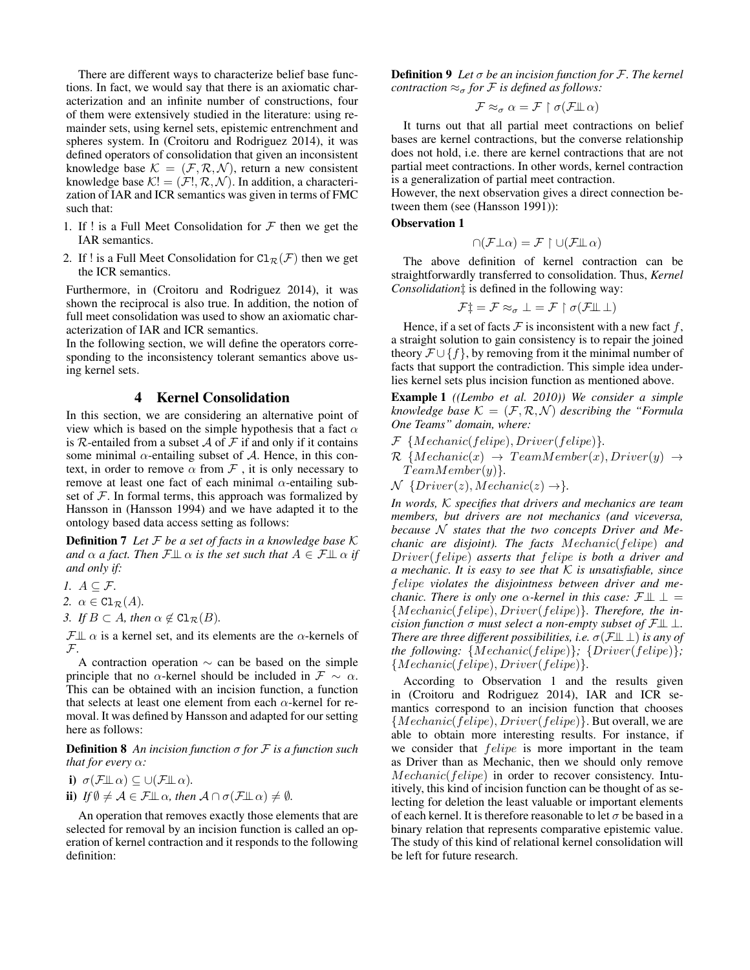There are different ways to characterize belief base functions. In fact, we would say that there is an axiomatic characterization and an infinite number of constructions, four of them were extensively studied in the literature: using remainder sets, using kernel sets, epistemic entrenchment and spheres system. In (Croitoru and Rodriguez 2014), it was defined operators of consolidation that given an inconsistent knowledge base  $K = (\mathcal{F}, \mathcal{R}, \mathcal{N})$ , return a new consistent knowledge base  $K! = (\mathcal{F}!, \mathcal{R}, \mathcal{N})$ . In addition, a characterization of IAR and ICR semantics was given in terms of FMC such that:

- 1. If ! is a Full Meet Consolidation for  $\mathcal F$  then we get the IAR semantics.
- 2. If ! is a Full Meet Consolidation for  $Cl_{\mathcal{R}}(\mathcal{F})$  then we get the ICR semantics.

Furthermore, in (Croitoru and Rodriguez 2014), it was shown the reciprocal is also true. In addition, the notion of full meet consolidation was used to show an axiomatic characterization of IAR and ICR semantics.

In the following section, we will define the operators corresponding to the inconsistency tolerant semantics above using kernel sets.

# 4 Kernel Consolidation

In this section, we are considering an alternative point of view which is based on the simple hypothesis that a fact  $\alpha$ is R-entailed from a subset  $\mathcal A$  of  $\mathcal F$  if and only if it contains some minimal  $\alpha$ -entailing subset of A. Hence, in this context, in order to remove  $\alpha$  from  $\mathcal F$ , it is only necessary to remove at least one fact of each minimal  $\alpha$ -entailing subset of  $F$ . In formal terms, this approach was formalized by Hansson in (Hansson 1994) and we have adapted it to the ontology based data access setting as follows:

Definition 7 *Let* F *be a set of facts in a knowledge base* K *and*  $\alpha$  *a fact. Then*  $\mathcal{F} \perp \!\!\! \perp \alpha$  *is the set such that*  $A \in \mathcal{F} \perp \!\!\! \perp \alpha$  *if and only if:*

*1. A* ⊂ *F*.

2.  $\alpha \in \mathop{\mathrm{Cl}}\nolimits_{\mathcal{R}}(A)$ .

*3. If*  $B \subset A$ *, then*  $\alpha \notin \text{Cl}_{\mathcal{R}}(B)$ *.* 

 $\mathcal{F}\perp\!\!\!\perp \alpha$  is a kernel set, and its elements are the  $\alpha$ -kernels of  $\mathcal{F}$ .

A contraction operation  $\sim$  can be based on the simple principle that no  $\alpha$ -kernel should be included in  $\mathcal{F} \sim \alpha$ . This can be obtained with an incision function, a function that selects at least one element from each  $\alpha$ -kernel for removal. It was defined by Hansson and adapted for our setting here as follows:

Definition 8 *An incision function* σ *for* F *is a function such that for every* α*:*

i)  $\sigma(\mathcal{F}\mathbb{L}\,\alpha) \subseteq \cup(\mathcal{F}\mathbb{L}\,\alpha)$ . ii) *If*  $\emptyset \neq A \in \mathcal{F} \perp \!\!\! \perp \alpha$ *, then*  $A \cap \sigma(\mathcal{F} \perp \!\!\! \perp \alpha) \neq \emptyset$ *.* 

An operation that removes exactly those elements that are selected for removal by an incision function is called an operation of kernel contraction and it responds to the following definition:

Definition 9 *Let* σ *be an incision function for* F*. The kernel contraction*  $\approx_{\sigma}$  *for F is defined as follows:* 

$$
\mathcal{F} \approx_{\sigma} \alpha = \mathcal{F} \restriction \sigma(\mathcal{F} \perp \alpha)
$$

It turns out that all partial meet contractions on belief bases are kernel contractions, but the converse relationship does not hold, i.e. there are kernel contractions that are not partial meet contractions. In other words, kernel contraction is a generalization of partial meet contraction.

However, the next observation gives a direct connection between them (see (Hansson 1991)):

# Observation 1

$$
\cap(\mathcal{F}\bot \alpha) = \mathcal{F} \upharpoonright \cup(\mathcal{F}\bot \alpha)
$$

The above definition of kernel contraction can be straightforwardly transferred to consolidation. Thus, *Kernel Consolidation*‡ is defined in the following way:

$$
\mathcal{F}^+_\mp = \mathcal{F} \approx_\sigma \bot = \mathcal{F} \upharpoonright \sigma(\mathcal{F}\bot\!\!\!\bot\bot)
$$

Hence, if a set of facts  $\mathcal F$  is inconsistent with a new fact f, a straight solution to gain consistency is to repair the joined theory  $\mathcal{F} \cup \{f\}$ , by removing from it the minimal number of facts that support the contradiction. This simple idea underlies kernel sets plus incision function as mentioned above.

Example 1 *((Lembo et al. 2010)) We consider a simple knowledge base*  $K = (\mathcal{F}, \mathcal{R}, \mathcal{N})$  *describing the "Formula One Teams" domain, where:*

- F {Mechanic(felipe), Driver(felipe)}*.*
- $\mathcal{R}$  {Mechanic(x)  $\rightarrow$  TeamMember(x), Driver(y)  $\rightarrow$  $TeamMember(y)$ <sup>2</sup>.
- $\mathcal N$  {Driver(z), Mechanic(z)  $\rightarrow$  }.

*In words,* K *specifies that drivers and mechanics are team members, but drivers are not mechanics (and viceversa, because* N *states that the two concepts Driver and Mechanic are disjoint). The facts* Mechanic(felipe) *and* Driver(felipe) *asserts that* felipe *is both a driver and a mechanic. It is easy to see that* K *is unsatisfiable, since* felipe *violates the disjointness between driver and mechanic. There is only one*  $\alpha$ -kernel in this case:  $\mathcal{F}\perp \perp$  = {Mechanic(felipe), Driver(felipe)}*. Therefore, the incision function* σ *must select a non-empty subset of*  $\mathcal{F} \perp \perp$ . *There are three different possibilities, i.e.*  $\sigma(\mathcal{F}\perp\perp)$  *is any of the following:* {Mechanic(felipe)}*;* {Driver(felipe)}*;* {Mechanic(felipe), Driver(felipe)}*.*

According to Observation 1 and the results given in (Croitoru and Rodriguez 2014), IAR and ICR semantics correspond to an incision function that chooses  ${Mechanic(feline), Driver(feline)}$ . But overall, we are able to obtain more interesting results. For instance, if we consider that *felipe* is more important in the team as Driver than as Mechanic, then we should only remove Mechanic(felipe) in order to recover consistency. Intuitively, this kind of incision function can be thought of as selecting for deletion the least valuable or important elements of each kernel. It is therefore reasonable to let  $\sigma$  be based in a binary relation that represents comparative epistemic value. The study of this kind of relational kernel consolidation will be left for future research.